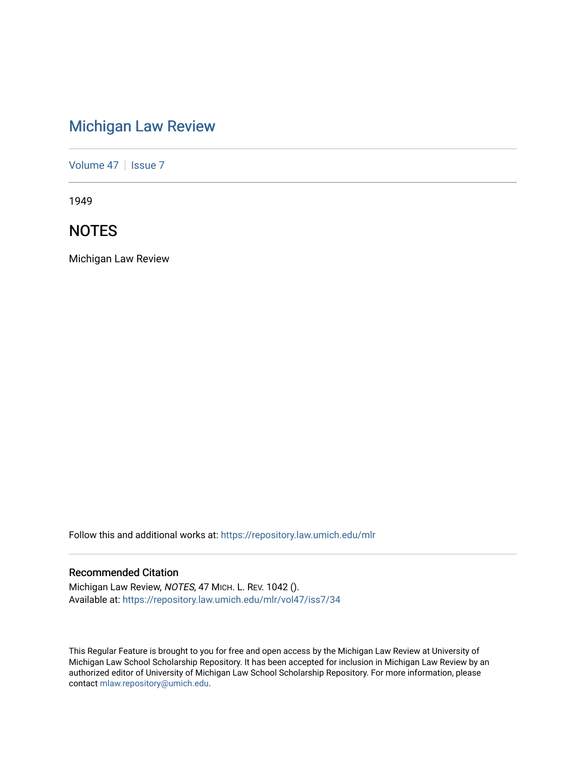# [Michigan Law Review](https://repository.law.umich.edu/mlr)

[Volume 47](https://repository.law.umich.edu/mlr/vol47) | [Issue 7](https://repository.law.umich.edu/mlr/vol47/iss7)

1949

## **NOTES**

Michigan Law Review

Follow this and additional works at: [https://repository.law.umich.edu/mlr](https://repository.law.umich.edu/mlr?utm_source=repository.law.umich.edu%2Fmlr%2Fvol47%2Fiss7%2F34&utm_medium=PDF&utm_campaign=PDFCoverPages) 

### Recommended Citation

Michigan Law Review, NOTES, 47 MICH. L. REV. 1042 (). Available at: [https://repository.law.umich.edu/mlr/vol47/iss7/34](https://repository.law.umich.edu/mlr/vol47/iss7/34?utm_source=repository.law.umich.edu%2Fmlr%2Fvol47%2Fiss7%2F34&utm_medium=PDF&utm_campaign=PDFCoverPages) 

This Regular Feature is brought to you for free and open access by the Michigan Law Review at University of Michigan Law School Scholarship Repository. It has been accepted for inclusion in Michigan Law Review by an authorized editor of University of Michigan Law School Scholarship Repository. For more information, please contact [mlaw.repository@umich.edu](mailto:mlaw.repository@umich.edu).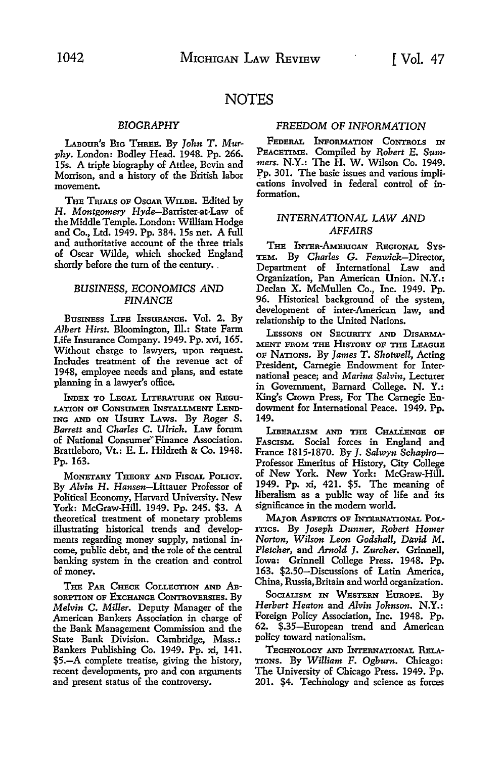### **NOTES**

#### *BIOGRAPHY*

LABOUR'S BIG THREE. By *John T. Murphy.* London: Bodley Head. 1948. Pp. 266. 15s. A triple biography of Attlee, Bevin and Morrison, and a history of the British labor movement.

THE TRIALS OF OSCAR WILDE. Edited by **H.** *Montgomery* Hyde-Barrister-at-Law of the Middle Temple. London: William Hodge and Co., Ltd. 1949. Pp. 384. 15s net. A full and authoritative account of the three trials of Oscar Wilde, which shocked England shortly before the turn of the century.

#### *BUSINESS, ECONOMICS AND FINANCE*

BusINEss LIPE INSURANCE. Vol. 2. By Albert Hirst. Bloomington, Ill.: State Farm Life Insurance Company. 1949. Pp. xvi, 165. Without charge to lawyers, upon request. Includes treatment of the revenue act of 1948, employee needs and plans, and estate planning in a lawyer's office.

INDEX TO LEGAL LITERATURE ON REGU-LATION OP CoNSUMER INSTALLMENT LEND-ING AND ON UsuRY LAws. By *Roger S. Barrett* and *Charles* C. *Ulrich.* Law forum of National Consumer~Finance Association. Brattleboro, Vt.: E. L. Hildreth & Co. 1948. Pp. 163.

MONETARY THEORY AND FISCAL POLICY. By *Alvin* H. Hansen-Littauer Professor of Political Economy, Harvard University. New York: McGraw-Hill. 1949. Pp. 245. \$3. A theoretical treatment of monetary problems illustrating historical trends and developments regarding money supply, national income, public debt, and the role of the central banking system in the creation and control of money.

THE PAR CHECK COLLECTION AND AB-SORPTION OP EXCHANGE CoNTROVERSIES. By *Melvin* C. *Miller.* Deputy Manager of the American Bankers Association in charge of the Bank Management Commission and the State Bank Division. Cambridge, Mass.: Bankers Publishing Co. 1949. Pp. xi, 141. \$5.-A complete treatise, giving the history, recent developments, pro and con arguments and present status of the controversy.

#### *FREEDOM* OF *INFORMATION*

FEDERAL lNPoRMATION CoNTRoLs IN PEACETIME. Compiled by *Robert E. Summers.* N.Y.: The H. W. Wilson Co. 1949. Pp. 301. The basic issues and various implications involved in federal control of information.

#### *INTERNATIONAL LAW AND AFFAIRS*

THE INTER-AMERICAN REGIONAL SYS-TEM. By *Charles* G. Fenwick-Director, Department of International Law and Organization, Pan American Union. N.Y.: Declan X. McMullen Co., Inc. 1949. Pp. 96. Historical background of the system, development of inter-American law, and relationship to the United Nations.

LESSONS ON SECURITY AND DISARMA-MENT FROM THE HISTORY OF THE LEAGUE OP NATIONS. By *James T. Shotwell,* Acting President, Carnegie Endowment for International peace; and *Marina Salvin,* Lecturer in Government, Barnard College. N. Y.: King's Crown Press, For The Carnegie Endowment for International Peace. 1949. Pp. 149.

LIBERALISM AND THE CHALLENGE OF FASCISM. Social forces in England and France 1815-1870. By J. *Salwyn Schapiro-*Professor Emeritus of History, City College of New York. New York: McGraw-Hill. 1949. Pp. xi, 421. \$5. The meaning of liberalism as a public way of life and its significance in the modem world.

MAJOR AsPECTs oP INTERNATIONAL PoL-ITics. By *Joseph Dunner, Robert Homer Norton, Wilson Leon Godshall, David M. Pletcher,* and *Arnold* J. *Zurcher.* Grinnell, Iowa: Grinnell College Press. 1948. Pp. 163. \$2.50-Discussions of Latin America, China, Russia,Britain and world organization.

SOCIALISM IN WESTERN EUROPE. By *Herbert Heaton* and *Alvin Johnson.* **N.Y.:**  Foreign Policy Association, Inc. 1948. Pp. 62. \$.35-European trend and American policy toward nationalism.

TECHNOLOGY AND INTERNATIONAL RELA-TIONS. By *William* F. *Ogburn.* Chicago: The University of Chicago Press. 1949. Pp. 201. \$4. Technology and science as forces